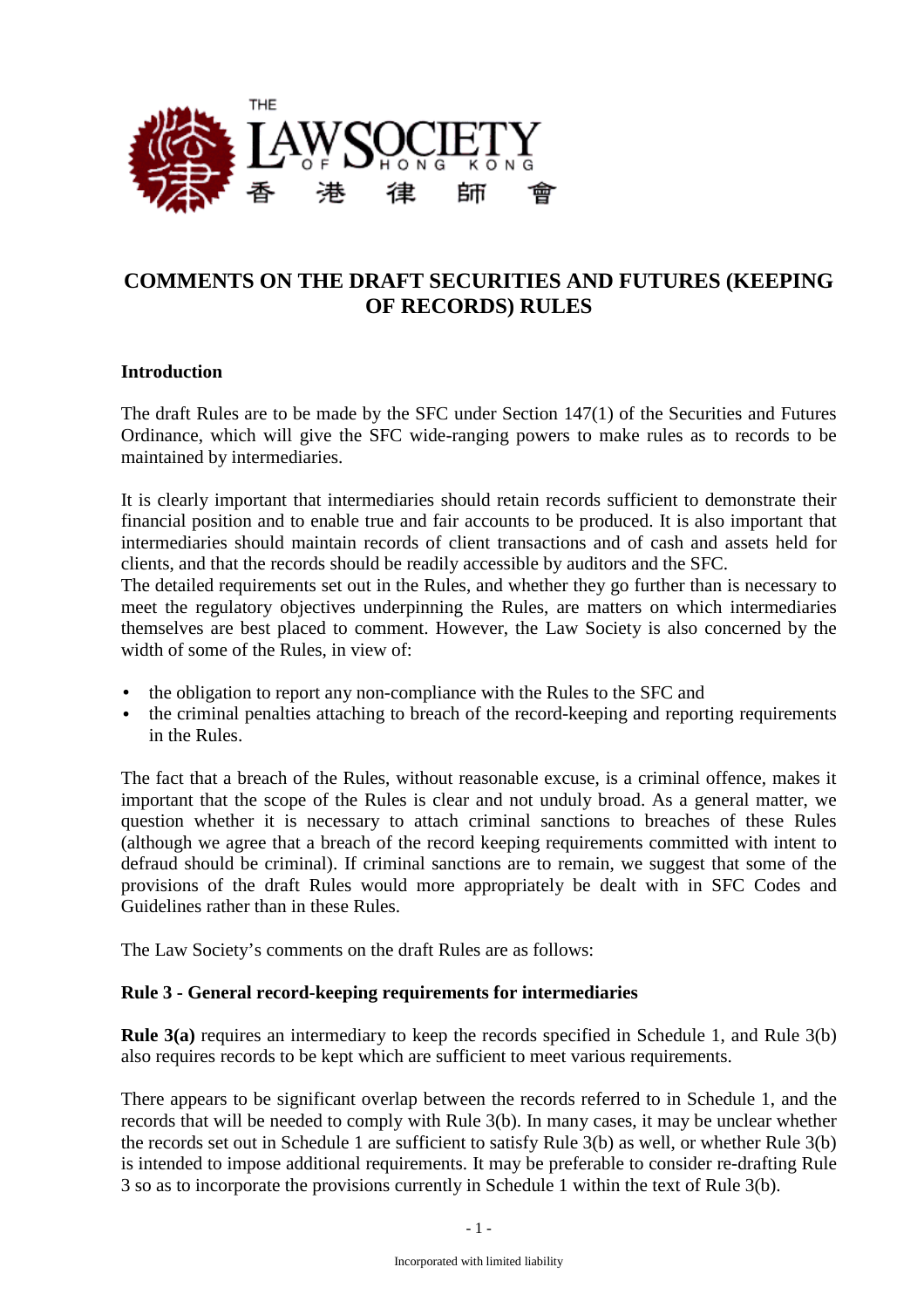

# **COMMENTS ON THE DRAFT SECURITIES AND FUTURES (KEEPING OF RECORDS) RULES**

### **Introduction**

The draft Rules are to be made by the SFC under Section 147(1) of the Securities and Futures Ordinance, which will give the SFC wide-ranging powers to make rules as to records to be maintained by intermediaries.

It is clearly important that intermediaries should retain records sufficient to demonstrate their financial position and to enable true and fair accounts to be produced. It is also important that intermediaries should maintain records of client transactions and of cash and assets held for clients, and that the records should be readily accessible by auditors and the SFC.

The detailed requirements set out in the Rules, and whether they go further than is necessary to meet the regulatory objectives underpinning the Rules, are matters on which intermediaries themselves are best placed to comment. However, the Law Society is also concerned by the width of some of the Rules, in view of:

- the obligation to report any non-compliance with the Rules to the SFC and
- the criminal penalties attaching to breach of the record-keeping and reporting requirements in the Rules.

The fact that a breach of the Rules, without reasonable excuse, is a criminal offence, makes it important that the scope of the Rules is clear and not unduly broad. As a general matter, we question whether it is necessary to attach criminal sanctions to breaches of these Rules (although we agree that a breach of the record keeping requirements committed with intent to defraud should be criminal). If criminal sanctions are to remain, we suggest that some of the provisions of the draft Rules would more appropriately be dealt with in SFC Codes and Guidelines rather than in these Rules.

The Law Society's comments on the draft Rules are as follows:

#### **Rule 3 - General record-keeping requirements for intermediaries**

**Rule 3(a)** requires an intermediary to keep the records specified in Schedule 1, and Rule 3(b) also requires records to be kept which are sufficient to meet various requirements.

There appears to be significant overlap between the records referred to in Schedule 1, and the records that will be needed to comply with Rule 3(b). In many cases, it may be unclear whether the records set out in Schedule 1 are sufficient to satisfy Rule 3(b) as well, or whether Rule 3(b) is intended to impose additional requirements. It may be preferable to consider re-drafting Rule 3 so as to incorporate the provisions currently in Schedule 1 within the text of Rule 3(b).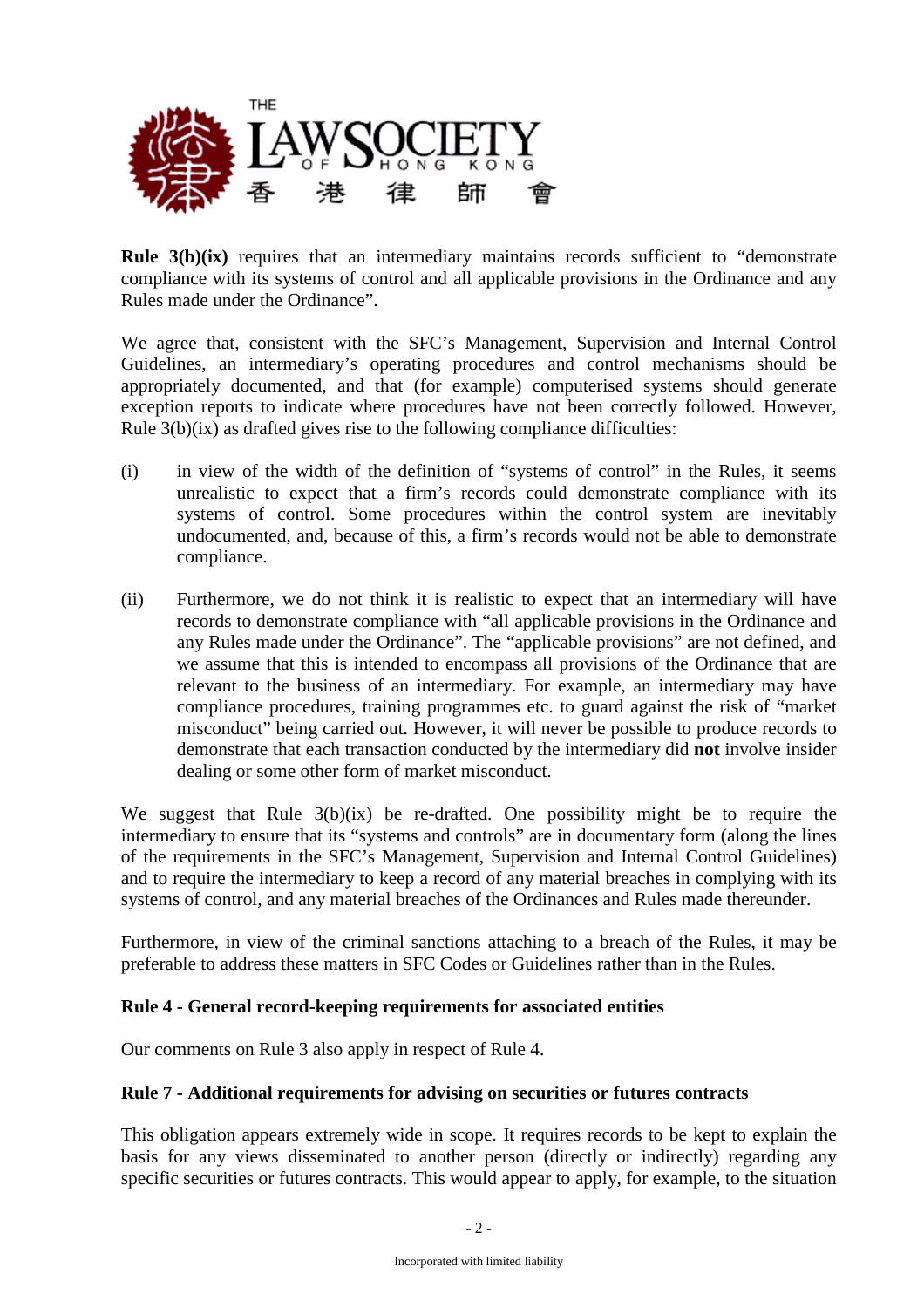

**Rule 3(b)(ix)** requires that an intermediary maintains records sufficient to "demonstrate" compliance with its systems of control and all applicable provisions in the Ordinance and any Rules made under the Ordinance".

We agree that, consistent with the SFC's Management, Supervision and Internal Control Guidelines, an intermediary's operating procedures and control mechanisms should be appropriately documented, and that (for example) computerised systems should generate exception reports to indicate where procedures have not been correctly followed. However, Rule 3(b)(ix) as drafted gives rise to the following compliance difficulties:

- (i) in view of the width of the definition of "systems of control" in the Rules, it seems unrealistic to expect that a firm's records could demonstrate compliance with its systems of control. Some procedures within the control system are inevitably undocumented, and, because of this, a firm's records would not be able to demonstrate compliance.
- (ii) Furthermore, we do not think it is realistic to expect that an intermediary will have records to demonstrate compliance with "all applicable provisions in the Ordinance and any Rules made under the Ordinance". The "applicable provisions" are not defined, and we assume that this is intended to encompass all provisions of the Ordinance that are relevant to the business of an intermediary. For example, an intermediary may have compliance procedures, training programmes etc. to guard against the risk of "market misconduct" being carried out. However, it will never be possible to produce records to demonstrate that each transaction conducted by the intermediary did **not** involve insider dealing or some other form of market misconduct.

We suggest that Rule  $3(b)(ix)$  be re-drafted. One possibility might be to require the intermediary to ensure that its "systems and controls" are in documentary form (along the lines of the requirements in the SFC's Management, Supervision and Internal Control Guidelines) and to require the intermediary to keep a record of any material breaches in complying with its systems of control, and any material breaches of the Ordinances and Rules made thereunder.

Furthermore, in view of the criminal sanctions attaching to a breach of the Rules, it may be preferable to address these matters in SFC Codes or Guidelines rather than in the Rules.

#### **Rule 4 - General record-keeping requirements for associated entities**

Our comments on Rule 3 also apply in respect of Rule 4.

#### **Rule 7 - Additional requirements for advising on securities or futures contracts**

This obligation appears extremely wide in scope. It requires records to be kept to explain the basis for any views disseminated to another person (directly or indirectly) regarding any specific securities or futures contracts. This would appear to apply, for example, to the situation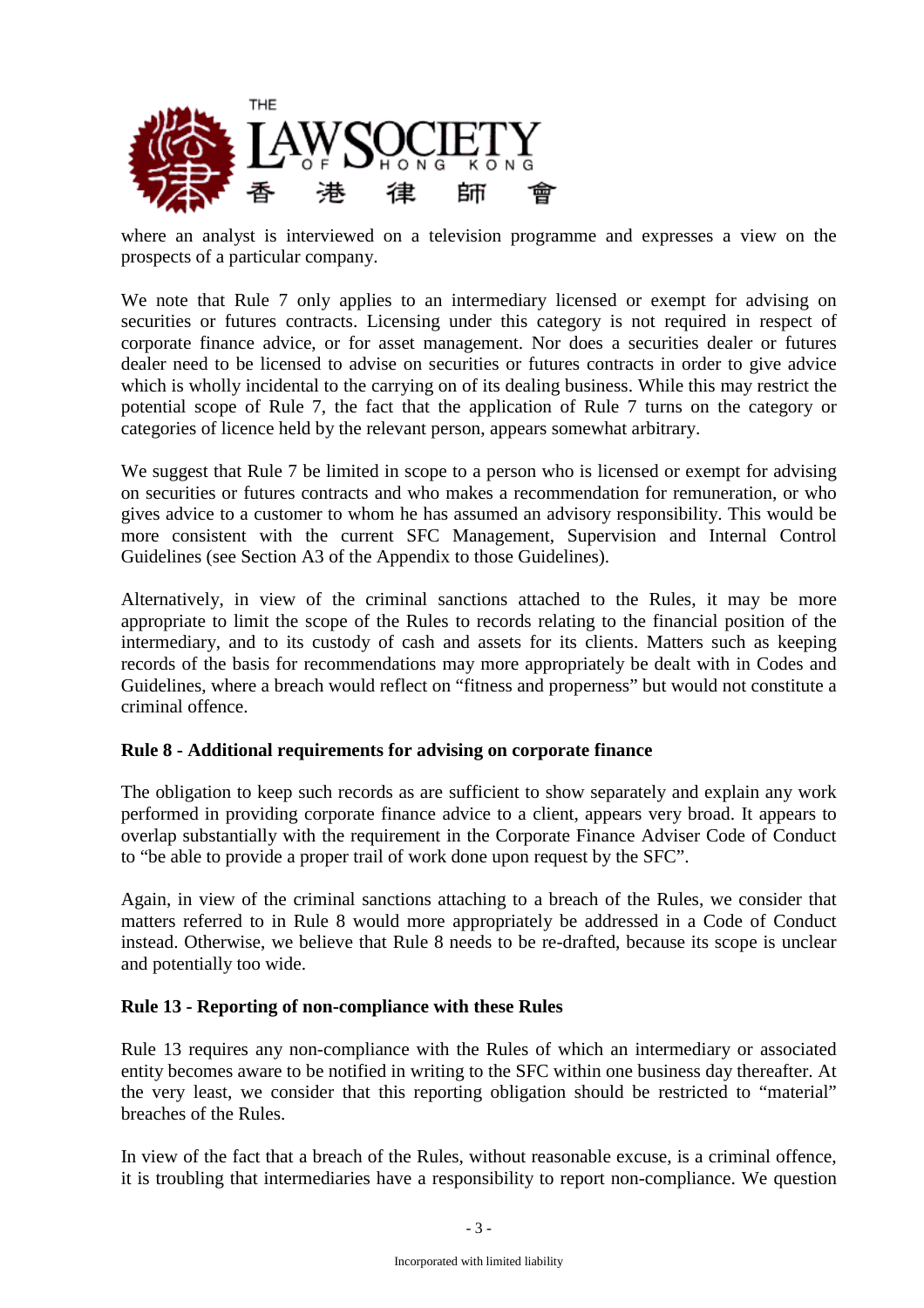

where an analyst is interviewed on a television programme and expresses a view on the prospects of a particular company.

We note that Rule 7 only applies to an intermediary licensed or exempt for advising on securities or futures contracts. Licensing under this category is not required in respect of corporate finance advice, or for asset management. Nor does a securities dealer or futures dealer need to be licensed to advise on securities or futures contracts in order to give advice which is wholly incidental to the carrying on of its dealing business. While this may restrict the potential scope of Rule 7, the fact that the application of Rule 7 turns on the category or categories of licence held by the relevant person, appears somewhat arbitrary.

We suggest that Rule 7 be limited in scope to a person who is licensed or exempt for advising on securities or futures contracts and who makes a recommendation for remuneration, or who gives advice to a customer to whom he has assumed an advisory responsibility. This would be more consistent with the current SFC Management, Supervision and Internal Control Guidelines (see Section A3 of the Appendix to those Guidelines).

Alternatively, in view of the criminal sanctions attached to the Rules, it may be more appropriate to limit the scope of the Rules to records relating to the financial position of the intermediary, and to its custody of cash and assets for its clients. Matters such as keeping records of the basis for recommendations may more appropriately be dealt with in Codes and Guidelines, where a breach would reflect on "fitness and properness" but would not constitute a criminal offence.

#### **Rule 8 - Additional requirements for advising on corporate finance**

The obligation to keep such records as are sufficient to show separately and explain any work performed in providing corporate finance advice to a client, appears very broad. It appears to overlap substantially with the requirement in the Corporate Finance Adviser Code of Conduct to "be able to provide a proper trail of work done upon request by the SFC".

Again, in view of the criminal sanctions attaching to a breach of the Rules, we consider that matters referred to in Rule 8 would more appropriately be addressed in a Code of Conduct instead. Otherwise, we believe that Rule 8 needs to be re-drafted, because its scope is unclear and potentially too wide.

#### **Rule 13 - Reporting of non-compliance with these Rules**

Rule 13 requires any non-compliance with the Rules of which an intermediary or associated entity becomes aware to be notified in writing to the SFC within one business day thereafter. At the very least, we consider that this reporting obligation should be restricted to "material" breaches of the Rules.

In view of the fact that a breach of the Rules, without reasonable excuse, is a criminal offence, it is troubling that intermediaries have a responsibility to report non-compliance. We question